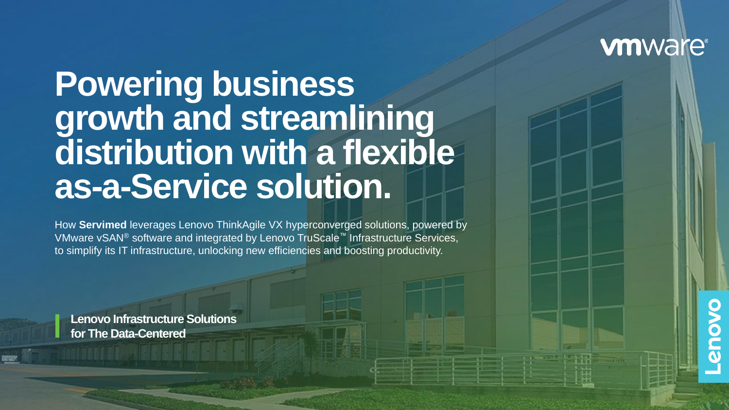## **vmware®**

# **Powering business growth and streamlining distribution with a flexible as-a-Service solution.**

How **Servimed** leverages Lenovo ThinkAgile VX hyperconverged solutions, powered by VMware vSAN® software and integrated by Lenovo TruScale™ Infrastructure Services, to simplify its IT infrastructure, unlocking new efficiencies and boosting productivity.

**Lenovo Infrastructure Solutions for The Data-Centered**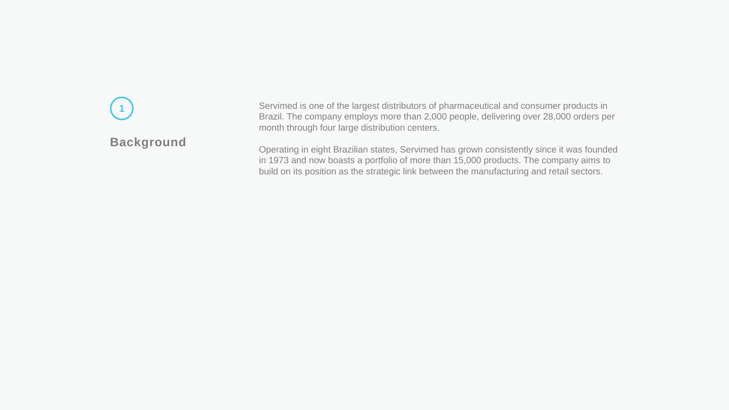## **Background 1**

Servimed is one of the largest distributors of pharmaceutical and consumer products in Brazil. The company employs more than 2,000 people, delivering over 28,000 orders per month through four large distribution centers.

Operating in eight Brazilian states, Servimed has grown consistently since it was founded in 1973 and now boasts a portfolio of more than 15,000 products. The company aims to build on its position as the strategic link between the manufacturing and retail sectors.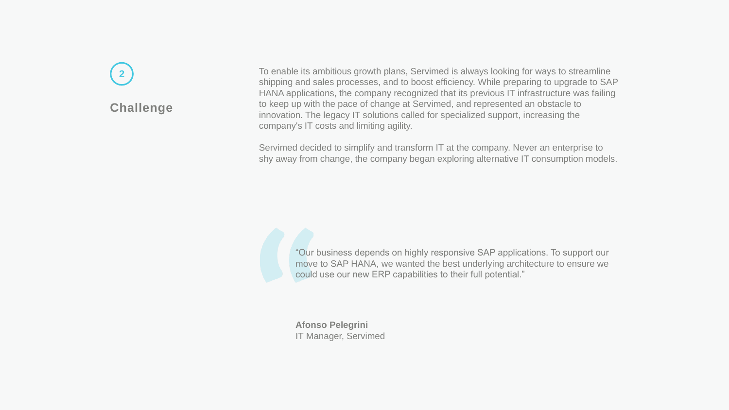### **Challenge 2**

To enable its ambitious growth plans, Servimed is always looking for ways to streamline shipping and sales processes, and to boost efficiency. While preparing to upgrade to SAP HANA applications, the company recognized that its previous IT infrastructure was failing to keep up with the pace of change at Servimed, and represented an obstacle to innovation. The legacy IT solutions called for specialized support, increasing the company's IT costs and limiting agility.

Servimed decided to simplify and transform IT at the company. Never an enterprise to shy away from change, the company began exploring alternative IT consumption models.

"Our business depends on highly responsive SAP applications. To support our move to SAP HANA, we wanted the best underlying architecture to ensure we could use our new ERP capabilities to their full potential."

**Afonso Pelegrini** IT Manager, Servimed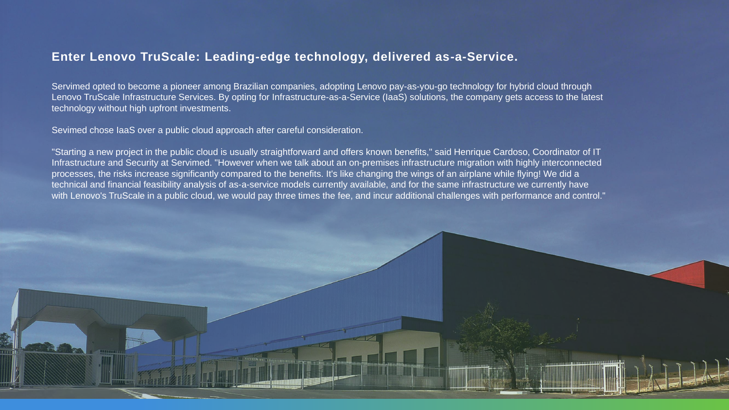#### **Enter Lenovo TruScale: Leading-edge technology, delivered as-a-Service.**

Servimed opted to become a pioneer among Brazilian companies, adopting Lenovo pay-as-you-go technology for hybrid cloud through Lenovo TruScale Infrastructure Services. By opting for Infrastructure-as-a-Service (IaaS) solutions, the company gets access to the latest technology without high upfront investments.

Sevimed chose IaaS over a public cloud approach after careful consideration.

"Starting a new project in the public cloud is usually straightforward and offers known benefits," said Henrique Cardoso, Coordinator of IT Infrastructure and Security at Servimed. "However when we talk about an on-premises infrastructure migration with highly interconnected processes, the risks increase significantly compared to the benefits. It's like changing the wings of an airplane while flying! We did a technical and financial feasibility analysis of as-a-service models currently available, and for the same infrastructure we currently have with Lenovo's TruScale in a public cloud, we would pay three times the fee, and incur additional challenges with performance and control."

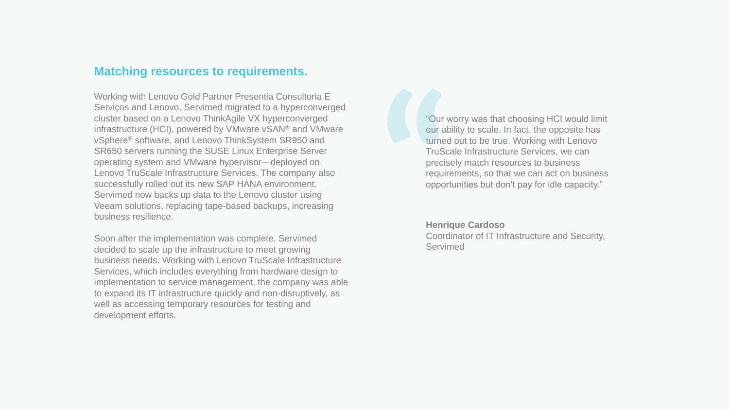#### **Matching resources to requirements.**

Working with Lenovo Gold Partner Presentia Consultoria E Servicos and Lenovo, Servimed migrated to a hyperconverged cluster based on a Lenovo ThinkAgile VX hyperconverged infrastructure (HCI), powered by VMware vSAN® and VMware vSphere® software, and Lenovo ThinkSystem SR950 and SR650 servers running the SUSE Linux Enterprise Server operating system and VMware hypervisor—deployed on Lenovo TruScale Infrastructure Services. The company also successfully rolled out its new SAP HANA environment. Servimed now backs up data to the Lenovo cluster using Veeam solutions, replacing tape-based backups, increasing business resilience.

Soon after the implementation was complete, Servimed decided to scale up the infrastructure to meet growing business needs. Working with Lenovo TruScale Infrastructure Services, which includes everything from hardware design to implementation to service management, the company was able to expand its IT infrastructure quickly and non-disruptively, as well as accessing temporary resources for testing and development efforts.

"Our worry was that choosing HCI would limit our ability to scale. In fact, the opposite has turned out to be true. Working with Lenovo TruScale Infrastructure Services, we can precisely match resources to business requirements, so that we can act on business opportunities but don't pay for idle capacity."

#### **Henrique Cardoso**

Coordinator of IT Infrastructure and Security, **Servimed**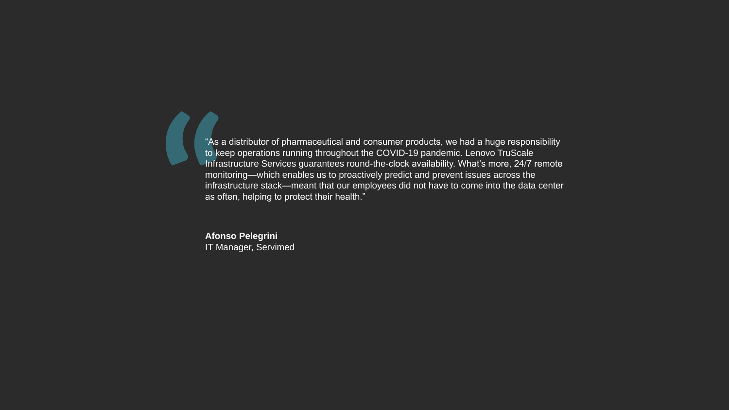$\blacksquare$  "As a distributor of pharmaceutical and consumer products, we had a huge responsibility to keep operations running throughout the COVID-19 pandemic. Lenovo TruScale Infrastructure Services guarantees round-the-clock availability. What's more, 24/7 remote monitoring—which enables us to proactively predict and prevent issues across the infrastructure stack—meant that our employees did not have to come into the data center as often, helping to protect their health."

**Afonso Pelegrini** IT Manager, Servimed

 $\blacksquare$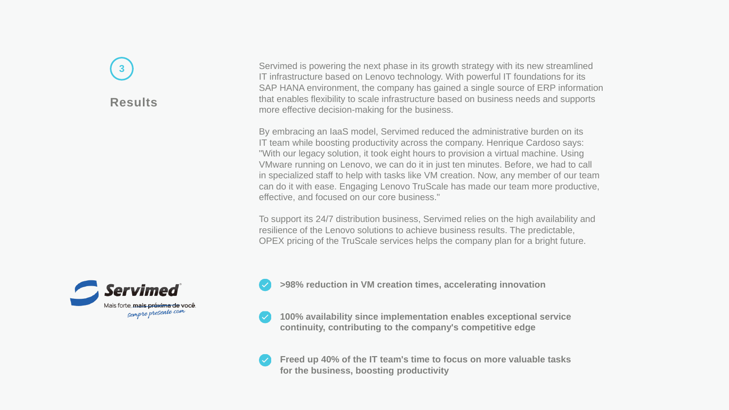# **3**

#### **Results**

Servimed is powering the next phase in its growth strategy with its new streamlined IT infrastructure based on Lenovo technology. With powerful IT foundations for its SAP HANA environment, the company has gained a single source of ERP information that enables flexibility to scale infrastructure based on business needs and supports more effective decision-making for the business.

By embracing an IaaS model, Servimed reduced the administrative burden on its IT team while boosting productivity across the company. Henrique Cardoso says: "With our legacy solution, it took eight hours to provision a virtual machine. Using VMware running on Lenovo, we can do it in just ten minutes. Before, we had to call in specialized staff to help with tasks like VM creation. Now, any member of our team can do it with ease. Engaging Lenovo TruScale has made our team more productive, effective, and focused on our core business."

To support its 24/7 distribution business, Servimed relies on the high availability and resilience of the Lenovo solutions to achieve business results. The predictable, OPEX pricing of the TruScale services helps the company plan for a bright future.



**>98% reduction in VM creation times, accelerating innovation**

**100% availability since implementation enables exceptional service continuity, contributing to the company's competitive edge**

**Freed up 40% of the IT team's time to focus on more valuable tasks for the business, boosting productivity**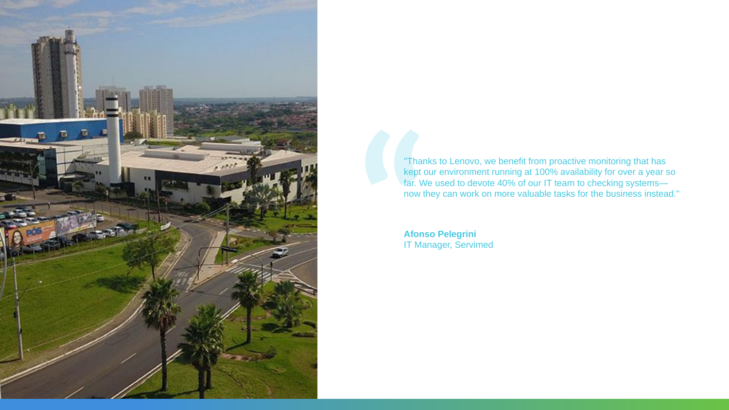

"Thanks to Lenovo, we benefit from proactive monitoring that has kept our environment running at 100% availability for over a year so far. We used to devote 40% of our IT team to checking systems now they can work on more valuable tasks for the business instead."

**Afonso Pelegrini** IT Manager, Servimed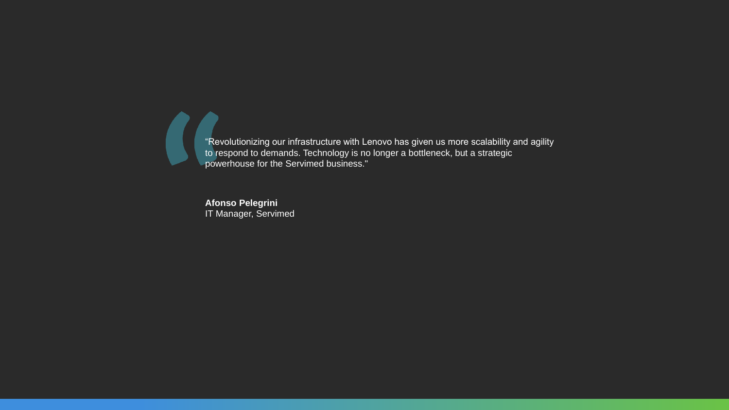$\blacksquare$ "Revolutionizing our infrastructure with Lenovo has given us more scalability and agility to respond to demands. Technology is no longer a bottleneck, but a strategic powerhouse for the Servimed business."

> **Afonso Pelegrini** IT Manager, Servimed